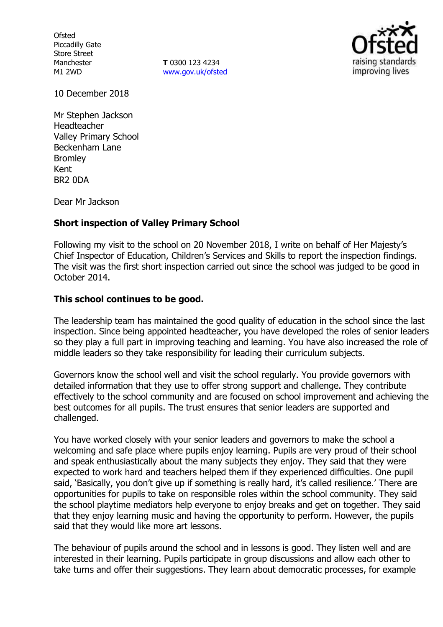**Ofsted** Piccadilly Gate Store Street Manchester M1 2WD

**T** 0300 123 4234 [www.gov.uk/ofsted](http://www.gov.uk/ofsted)



10 December 2018

Mr Stephen Jackson Headteacher Valley Primary School Beckenham Lane Bromley Kent BR2 0DA

Dear Mr Jackson

### **Short inspection of Valley Primary School**

Following my visit to the school on 20 November 2018, I write on behalf of Her Majesty's Chief Inspector of Education, Children's Services and Skills to report the inspection findings. The visit was the first short inspection carried out since the school was judged to be good in October 2014.

### **This school continues to be good.**

The leadership team has maintained the good quality of education in the school since the last inspection. Since being appointed headteacher, you have developed the roles of senior leaders so they play a full part in improving teaching and learning. You have also increased the role of middle leaders so they take responsibility for leading their curriculum subjects.

Governors know the school well and visit the school regularly. You provide governors with detailed information that they use to offer strong support and challenge. They contribute effectively to the school community and are focused on school improvement and achieving the best outcomes for all pupils. The trust ensures that senior leaders are supported and challenged.

You have worked closely with your senior leaders and governors to make the school a welcoming and safe place where pupils enjoy learning. Pupils are very proud of their school and speak enthusiastically about the many subjects they enjoy. They said that they were expected to work hard and teachers helped them if they experienced difficulties. One pupil said, 'Basically, you don't give up if something is really hard, it's called resilience.' There are opportunities for pupils to take on responsible roles within the school community. They said the school playtime mediators help everyone to enjoy breaks and get on together. They said that they enjoy learning music and having the opportunity to perform. However, the pupils said that they would like more art lessons.

The behaviour of pupils around the school and in lessons is good. They listen well and are interested in their learning. Pupils participate in group discussions and allow each other to take turns and offer their suggestions. They learn about democratic processes, for example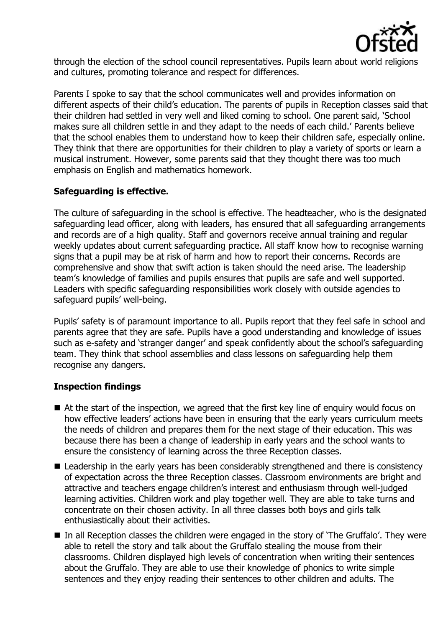

through the election of the school council representatives. Pupils learn about world religions and cultures, promoting tolerance and respect for differences.

Parents I spoke to say that the school communicates well and provides information on different aspects of their child's education. The parents of pupils in Reception classes said that their children had settled in very well and liked coming to school. One parent said, 'School makes sure all children settle in and they adapt to the needs of each child.' Parents believe that the school enables them to understand how to keep their children safe, especially online. They think that there are opportunities for their children to play a variety of sports or learn a musical instrument. However, some parents said that they thought there was too much emphasis on English and mathematics homework.

# **Safeguarding is effective.**

The culture of safeguarding in the school is effective. The headteacher, who is the designated safeguarding lead officer, along with leaders, has ensured that all safeguarding arrangements and records are of a high quality. Staff and governors receive annual training and regular weekly updates about current safeguarding practice. All staff know how to recognise warning signs that a pupil may be at risk of harm and how to report their concerns. Records are comprehensive and show that swift action is taken should the need arise. The leadership team's knowledge of families and pupils ensures that pupils are safe and well supported. Leaders with specific safeguarding responsibilities work closely with outside agencies to safeguard pupils' well-being.

Pupils' safety is of paramount importance to all. Pupils report that they feel safe in school and parents agree that they are safe. Pupils have a good understanding and knowledge of issues such as e-safety and 'stranger danger' and speak confidently about the school's safeguarding team. They think that school assemblies and class lessons on safeguarding help them recognise any dangers.

### **Inspection findings**

- At the start of the inspection, we agreed that the first key line of enguiry would focus on how effective leaders' actions have been in ensuring that the early years curriculum meets the needs of children and prepares them for the next stage of their education. This was because there has been a change of leadership in early years and the school wants to ensure the consistency of learning across the three Reception classes.
- Leadership in the early years has been considerably strengthened and there is consistency of expectation across the three Reception classes. Classroom environments are bright and attractive and teachers engage children's interest and enthusiasm through well-judged learning activities. Children work and play together well. They are able to take turns and concentrate on their chosen activity. In all three classes both boys and girls talk enthusiastically about their activities.
- In all Reception classes the children were engaged in the story of 'The Gruffalo'. They were able to retell the story and talk about the Gruffalo stealing the mouse from their classrooms. Children displayed high levels of concentration when writing their sentences about the Gruffalo. They are able to use their knowledge of phonics to write simple sentences and they enjoy reading their sentences to other children and adults. The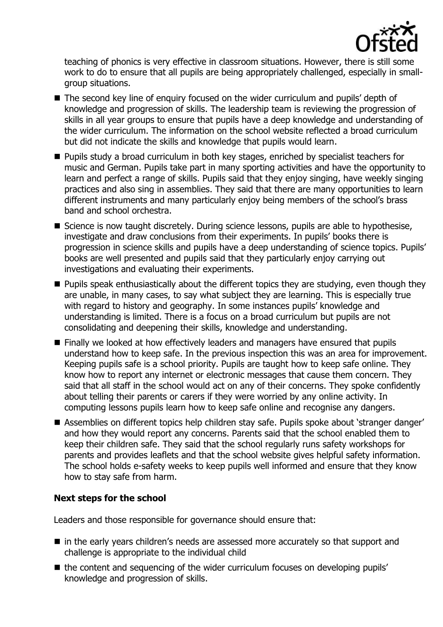

teaching of phonics is very effective in classroom situations. However, there is still some work to do to ensure that all pupils are being appropriately challenged, especially in smallgroup situations.

- The second key line of enguiry focused on the wider curriculum and pupils' depth of knowledge and progression of skills. The leadership team is reviewing the progression of skills in all year groups to ensure that pupils have a deep knowledge and understanding of the wider curriculum. The information on the school website reflected a broad curriculum but did not indicate the skills and knowledge that pupils would learn.
- **Pupils study a broad curriculum in both key stages, enriched by specialist teachers for** music and German. Pupils take part in many sporting activities and have the opportunity to learn and perfect a range of skills. Pupils said that they enjoy singing, have weekly singing practices and also sing in assemblies. They said that there are many opportunities to learn different instruments and many particularly enjoy being members of the school's brass band and school orchestra.
- Science is now taught discretely. During science lessons, pupils are able to hypothesise, investigate and draw conclusions from their experiments. In pupils' books there is progression in science skills and pupils have a deep understanding of science topics. Pupils' books are well presented and pupils said that they particularly enjoy carrying out investigations and evaluating their experiments.
- **Pupils speak enthusiastically about the different topics they are studying, even though they** are unable, in many cases, to say what subject they are learning. This is especially true with regard to history and geography. In some instances pupils' knowledge and understanding is limited. There is a focus on a broad curriculum but pupils are not consolidating and deepening their skills, knowledge and understanding.
- Finally we looked at how effectively leaders and managers have ensured that pupils understand how to keep safe. In the previous inspection this was an area for improvement. Keeping pupils safe is a school priority. Pupils are taught how to keep safe online. They know how to report any internet or electronic messages that cause them concern. They said that all staff in the school would act on any of their concerns. They spoke confidently about telling their parents or carers if they were worried by any online activity. In computing lessons pupils learn how to keep safe online and recognise any dangers.
- Assemblies on different topics help children stay safe. Pupils spoke about 'stranger danger' and how they would report any concerns. Parents said that the school enabled them to keep their children safe. They said that the school regularly runs safety workshops for parents and provides leaflets and that the school website gives helpful safety information. The school holds e-safety weeks to keep pupils well informed and ensure that they know how to stay safe from harm.

# **Next steps for the school**

Leaders and those responsible for governance should ensure that:

- in the early years children's needs are assessed more accurately so that support and challenge is appropriate to the individual child
- the content and sequencing of the wider curriculum focuses on developing pupils' knowledge and progression of skills.